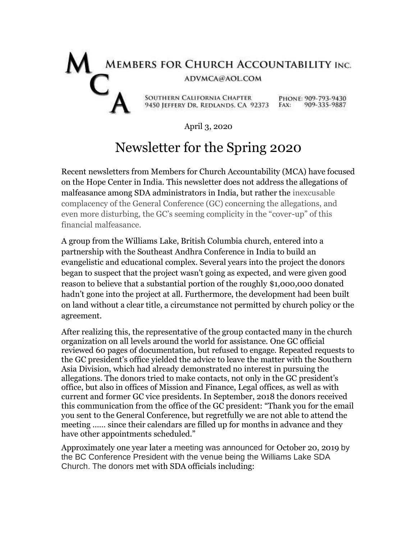## MEMBERS FOR CHURCH ACCOUNTABILITY INC. ADVMCA@AOL.COM SOUTHERN CALIFORNIA CHAPTER<br>
9450 JEFFERY DR, REDLANDS, CA 92373 FAX: 909-335-9887

April 3, 2020

## Newsletter for the Spring 2020

Recent newsletters from Members for Church Accountability (MCA) have focused on the Hope Center in India. This newsletter does not address the allegations of malfeasance among SDA administrators in India, but rather the inexcusable complacency of the General Conference (GC) concerning the allegations, and even more disturbing, the GC's seeming complicity in the "cover-up" of this financial malfeasance.

A group from the Williams Lake, British Columbia church, entered into a partnership with the Southeast Andhra Conference in India to build an evangelistic and educational complex. Several years into the project the donors began to suspect that the project wasn't going as expected, and were given good reason to believe that a substantial portion of the roughly \$1,000,000 donated hadn't gone into the project at all. Furthermore, the development had been built on land without a clear title, a circumstance not permitted by church policy or the agreement.

After realizing this, the representative of the group contacted many in the church organization on all levels around the world for assistance. One GC official reviewed 60 pages of documentation, but refused to engage. Repeated requests to the GC president's office yielded the advice to leave the matter with the Southern Asia Division, which had already demonstrated no interest in pursuing the allegations. The donors tried to make contacts, not only in the GC president's office, but also in offices of Mission and Finance, Legal offices, as well as with current and former GC vice presidents. In September, 2018 the donors received this communication from the office of the GC president: "Thank you for the email you sent to the General Conference, but regretfully we are not able to attend the meeting …… since their calendars are filled up for months in advance and they have other appointments scheduled."

Approximately one year later a meeting was announced for October 20, 2019 by the BC Conference President with the venue being the Williams Lake SDA Church. The donors met with SDA officials including: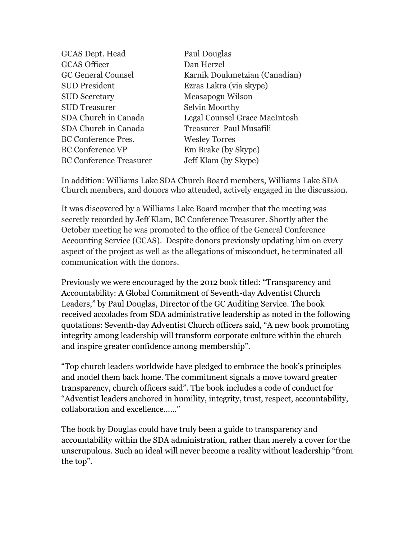| <b>GCAS Dept. Head</b>         | Paul Douglas                  |
|--------------------------------|-------------------------------|
| <b>GCAS Officer</b>            | Dan Herzel                    |
| <b>GC General Counsel</b>      | Karnik Doukmetzian (Canadian) |
| <b>SUD</b> President           | Ezras Lakra (via skype)       |
| <b>SUD Secretary</b>           | Measapogu Wilson              |
| <b>SUD</b> Treasurer           | Selvin Moorthy                |
| SDA Church in Canada           | Legal Counsel Grace MacIntosh |
| SDA Church in Canada           | Treasurer Paul Musafili       |
| <b>BC Conference Pres.</b>     | <b>Wesley Torres</b>          |
| <b>BC Conference VP</b>        | Em Brake (by Skype)           |
| <b>BC Conference Treasurer</b> | Jeff Klam (by Skype)          |
|                                |                               |

In addition: Williams Lake SDA Church Board members, Williams Lake SDA Church members, and donors who attended, actively engaged in the discussion.

It was discovered by a Williams Lake Board member that the meeting was secretly recorded by Jeff Klam, BC Conference Treasurer. Shortly after the October meeting he was promoted to the office of the General Conference Accounting Service (GCAS). Despite donors previously updating him on every aspect of the project as well as the allegations of misconduct, he terminated all communication with the donors.

Previously we were encouraged by the 2012 book titled: "Transparency and Accountability: A Global Commitment of Seventh-day Adventist Church Leaders," by Paul Douglas, Director of the GC Auditing Service. The book received accolades from SDA administrative leadership as noted in the following quotations: Seventh-day Adventist Church officers said, "A new book promoting integrity among leadership will transform corporate culture within the church and inspire greater confidence among membership".

"Top church leaders worldwide have pledged to embrace the book's principles and model them back home. The commitment signals a move toward greater transparency, church officers said". The book includes a code of conduct for "Adventist leaders anchored in humility, integrity, trust, respect, accountability, collaboration and excellence……"

The book by Douglas could have truly been a guide to transparency and accountability within the SDA administration, rather than merely a cover for the unscrupulous. Such an ideal will never become a reality without leadership "from the top".